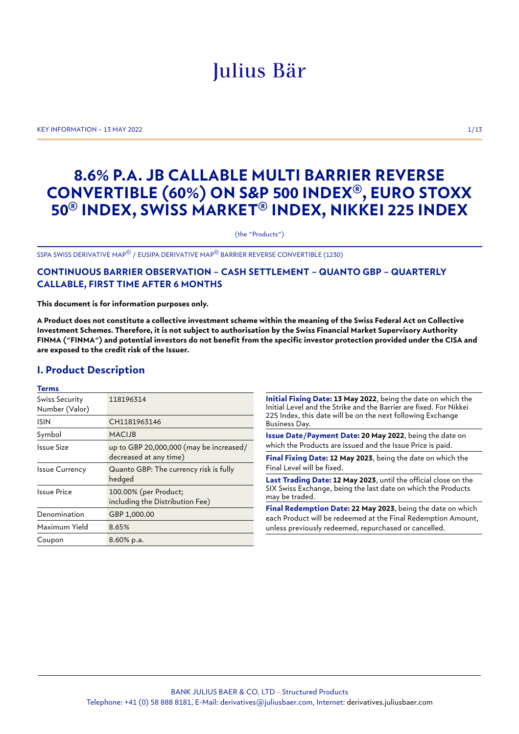# Julius Bär

KEY INFORMATION – 13 MAY 2022 1/13

## **8.6% P.A. JB CALLABLE MULTI BARRIER REVERSE CONVERTIBLE (60%) ON S&P 500 INDEX®, EURO STOXX 50® INDEX, SWISS MARKET® INDEX, NIKKEI 225 INDEX**

(the "Products")

SSPA SWISS DERIVATIVE MAP© / EUSIPA DERIVATIVE MAP© BARRIER REVERSE CONVERTIBLE (1230)

## **CONTINUOUS BARRIER OBSERVATION – CASH SETTLEMENT – QUANTO GBP – QUARTERLY CALLABLE, FIRST TIME AFTER 6 MONTHS**

**This document is for information purposes only.**

**A Product does not constitute a collective investment scheme within the meaning of the Swiss Federal Act on Collective Investment Schemes. Therefore, it is not subject to authorisation by the Swiss Financial Market Supervisory Authority FINMA ("FINMA") and potential investors do not benefit from the specific investor protection provided under the CISA and are exposed to the credit risk of the Issuer.**

## **I. Product Description**

#### **Terms**

| Swiss Security<br>Number (Valor) | 118196314                                                         |
|----------------------------------|-------------------------------------------------------------------|
| <b>ISIN</b>                      | CH1181963146                                                      |
| Symbol                           | <b>MACIJB</b>                                                     |
| Issue Size                       | up to GBP 20,000,000 (may be increased/<br>decreased at any time) |
| <b>Issue Currency</b>            | Quanto GBP: The currency risk is fully<br>hedged                  |
| <b>Issue Price</b>               | 100.00% (per Product;<br>including the Distribution Fee)          |
| Denomination                     | GBP 1,000.00                                                      |
| Maximum Yield                    | 8.65%                                                             |
| Coupon                           | 8.60% p.a.                                                        |

**Initial Fixing Date: 13 May 2022**, being the date on which the Initial Level and the Strike and the Barrier are fixed. For Nikkei 225 Index, this date will be on the next following Exchange Business Day.

**Issue Date/Payment Date: 20 May 2022**, being the date on which the Products are issued and the Issue Price is paid.

**Final Fixing Date: 12 May 2023**, being the date on which the Final Level will be fixed.

**Last Trading Date: 12 May 2023**, until the official close on the SIX Swiss Exchange, being the last date on which the Products may be traded.

**Final Redemption Date: 22 May 2023**, being the date on which each Product will be redeemed at the Final Redemption Amount, unless previously redeemed, repurchased or cancelled.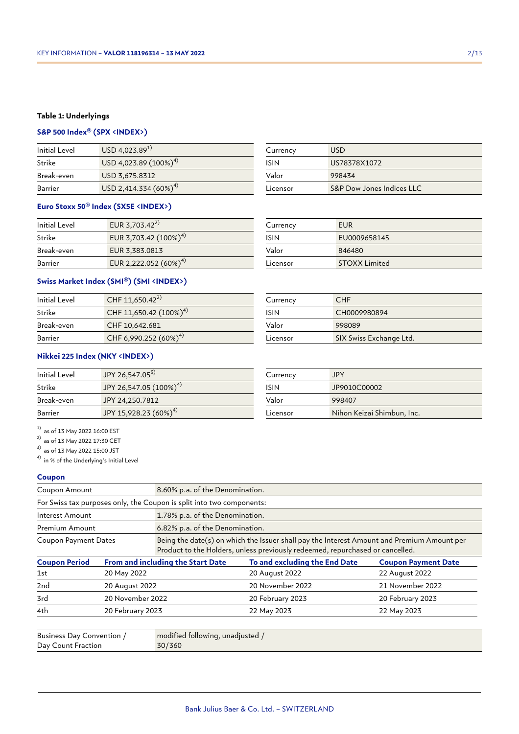## **Table 1: Underlyings**

## **S&P 500 Index® (SPX <INDEX>)**

| Initial Level | $USD$ 4,023.89 <sup>1)</sup> |
|---------------|------------------------------|
| Strike        | USD 4,023.89 $(100\%)^{4}$   |
| Break-even    | USD 3,675.8312               |
| Barrier       | USD 2,414.334 $(60\%)^{4}$   |

## **Euro Stoxx 50® Index (SX5E <INDEX>)**

| Initial Level | EUR 3,703.42 <sup>2)</sup>        |
|---------------|-----------------------------------|
| Strike        | EUR 3,703.42 (100%) <sup>4)</sup> |
| Break-even    | EUR 3,383.0813                    |
| Barrier       | EUR 2,222.052 (60%) <sup>4)</sup> |

## **Swiss Market Index (SMI®) (SMI <INDEX>)**

| Initial Level | CHF 11,650.42 <sup>2)</sup>        |
|---------------|------------------------------------|
| Strike        | CHF 11,650.42 (100%) <sup>4)</sup> |
| Break-even    | CHF 10,642.681                     |
| Barrier       | CHF 6,990.252 (60%) <sup>4)</sup>  |

## **Nikkei 225 Index (NKY <INDEX>)**

| Initial Level | JPY 26,547.05 <sup>3)</sup>        |
|---------------|------------------------------------|
| Strike        | JPY 26,547.05 (100%) <sup>4)</sup> |
| Break-even    | JPY 24,250.7812                    |
| Barrier       | JPY 15,928.23 (60%) <sup>4)</sup>  |

 $^{1)}$  as of 13 May 2022 16:00 EST

 $^{2)}$  as of 13 May 2022 17:30 CET

 $^{3)}$  as of 13 May 2022 15:00 JST

4) in % of the Underlying's Initial Level

#### **Coupon**

| Coupon Amount                                                                                                                                                                                              | 8.60% p.a. of the Denomination. |                                                                       |                               |                            |
|------------------------------------------------------------------------------------------------------------------------------------------------------------------------------------------------------------|---------------------------------|-----------------------------------------------------------------------|-------------------------------|----------------------------|
|                                                                                                                                                                                                            |                                 | For Swiss tax purposes only, the Coupon is split into two components: |                               |                            |
| 1.78% p.a. of the Denomination.<br>Interest Amount                                                                                                                                                         |                                 |                                                                       |                               |                            |
| Premium Amount                                                                                                                                                                                             |                                 | 6.82% p.a. of the Denomination.                                       |                               |                            |
| Being the date(s) on which the Issuer shall pay the Interest Amount and Premium Amount per<br><b>Coupon Payment Dates</b><br>Product to the Holders, unless previously redeemed, repurchased or cancelled. |                                 |                                                                       |                               |                            |
| <b>Coupon Period</b>                                                                                                                                                                                       |                                 | From and including the Start Date                                     | To and excluding the End Date | <b>Coupon Payment Date</b> |
| 1st                                                                                                                                                                                                        | 20 May 2022                     |                                                                       | 20 August 2022                | 22 August 2022             |
| 2nd                                                                                                                                                                                                        | 20 August 2022                  |                                                                       | 20 November 2022              | 21 November 2022           |
| 3rd                                                                                                                                                                                                        | 20 November 2022                |                                                                       | 20 February 2023              | 20 February 2023           |
| 4th                                                                                                                                                                                                        | 20 February 2023                |                                                                       | 22 May 2023                   | 22 May 2023                |
| Business Day Convention /                                                                                                                                                                                  |                                 | modified following, unadjusted /                                      |                               |                            |

| Business Day Convention / | modified following, unadjusted / |
|---------------------------|----------------------------------|
| Day Count Fraction        | 30/360                           |
|                           |                                  |

| Currency    | <b>USD</b>                |
|-------------|---------------------------|
| <b>ISIN</b> | US78378X1072              |
| Valor       | 998434                    |
| Licensor    | S&P Dow Jones Indices LLC |

| Currency | EUR                  |
|----------|----------------------|
| ISIN     | EU0009658145         |
| Valor    | 846480               |
| Licensor | <b>STOXX Limited</b> |

| Currency    | CHE                     |
|-------------|-------------------------|
| <b>ISIN</b> | CH0009980894            |
| Valor       | 998089                  |
| Licensor    | SIX Swiss Exchange Ltd. |

| Currency    | <b>JPY</b>                 |
|-------------|----------------------------|
| <b>ISIN</b> | JP9010C00002               |
| Valor       | 998407                     |
| Licensor    | Nihon Keizai Shimbun, Inc. |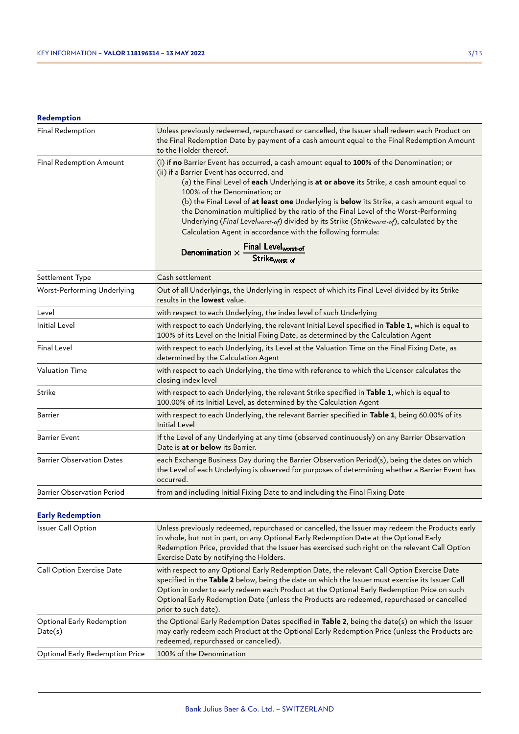## **Redemption**

| Final Redemption               | Unless previously redeemed, repurchased or cancelled, the Issuer shall redeem each Product on<br>the Final Redemption Date by payment of a cash amount equal to the Final Redemption Amount<br>to the Holder thereof.                                                                                                                                                                                                                                                                                                                                                                                                              |
|--------------------------------|------------------------------------------------------------------------------------------------------------------------------------------------------------------------------------------------------------------------------------------------------------------------------------------------------------------------------------------------------------------------------------------------------------------------------------------------------------------------------------------------------------------------------------------------------------------------------------------------------------------------------------|
| <b>Final Redemption Amount</b> | (i) if no Barrier Event has occurred, a cash amount equal to 100% of the Denomination; or<br>(ii) if a Barrier Event has occurred, and<br>(a) the Final Level of each Underlying is at or above its Strike, a cash amount equal to<br>100% of the Denomination; or<br>(b) the Final Level of <b>at least one</b> Underlying is <b>below</b> its Strike, a cash amount equal to<br>the Denomination multiplied by the ratio of the Final Level of the Worst-Performing<br>Underlying (Final Levelworst-of) divided by its Strike (Strikeworst-of), calculated by the<br>Calculation Agent in accordance with the following formula: |
|                                | Denomination $\times$ Final Level <sub>worst-of</sub>                                                                                                                                                                                                                                                                                                                                                                                                                                                                                                                                                                              |

## Strike<sub>worst-of</sub>

| Settlement Type                   | Cash settlement                                                                                                                                                                                                                                                                                                                        |  |  |
|-----------------------------------|----------------------------------------------------------------------------------------------------------------------------------------------------------------------------------------------------------------------------------------------------------------------------------------------------------------------------------------|--|--|
| Worst-Performing Underlying       | Out of all Underlyings, the Underlying in respect of which its Final Level divided by its Strike<br>results in the <b>lowest</b> value.                                                                                                                                                                                                |  |  |
| Level                             | with respect to each Underlying, the index level of such Underlying                                                                                                                                                                                                                                                                    |  |  |
| <b>Initial Level</b>              | with respect to each Underlying, the relevant Initial Level specified in Table 1, which is equal to<br>100% of its Level on the Initial Fixing Date, as determined by the Calculation Agent                                                                                                                                            |  |  |
| <b>Final Level</b>                | with respect to each Underlying, its Level at the Valuation Time on the Final Fixing Date, as<br>determined by the Calculation Agent                                                                                                                                                                                                   |  |  |
| <b>Valuation Time</b>             | with respect to each Underlying, the time with reference to which the Licensor calculates the<br>closing index level                                                                                                                                                                                                                   |  |  |
| Strike                            | with respect to each Underlying, the relevant Strike specified in Table 1, which is equal to<br>100.00% of its Initial Level, as determined by the Calculation Agent                                                                                                                                                                   |  |  |
| <b>Barrier</b>                    | with respect to each Underlying, the relevant Barrier specified in Table 1, being 60.00% of its<br><b>Initial Level</b>                                                                                                                                                                                                                |  |  |
| <b>Barrier Event</b>              | If the Level of any Underlying at any time (observed continuously) on any Barrier Observation<br>Date is at or below its Barrier.                                                                                                                                                                                                      |  |  |
| <b>Barrier Observation Dates</b>  | each Exchange Business Day during the Barrier Observation Period(s), being the dates on which<br>the Level of each Underlying is observed for purposes of determining whether a Barrier Event has<br>occurred.                                                                                                                         |  |  |
| <b>Barrier Observation Period</b> | from and including Initial Fixing Date to and including the Final Fixing Date                                                                                                                                                                                                                                                          |  |  |
| <b>Early Redemption</b>           |                                                                                                                                                                                                                                                                                                                                        |  |  |
| <b>Issuer Call Option</b>         | Unless previously redeemed, repurchased or cancelled, the Issuer may redeem the Products early<br>in whole, but not in part, on any Optional Early Redemption Date at the Optional Early<br>Redemption Price, provided that the Issuer has exercised such right on the relevant Call Option<br>Exercise Date by notifying the Holders. |  |  |
| Call Option Exercise Date         | with respect to any Optional Early Redemption Date, the relevant Call Option Exercise Date<br>specified in the Table 2 below, being the date on which the Issuer must exercise its Issuer Call                                                                                                                                         |  |  |

|                                      | Option in order to early redeem each Product at the Optional Early Redemption Price on such<br>Optional Early Redemption Date (unless the Products are redeemed, repurchased or cancelled<br>prior to such date).                        |
|--------------------------------------|------------------------------------------------------------------------------------------------------------------------------------------------------------------------------------------------------------------------------------------|
| Optional Early Redemption<br>Date(s) | the Optional Early Redemption Dates specified in Table 2, being the date(s) on which the Issuer<br>may early redeem each Product at the Optional Early Redemption Price (unless the Products are<br>redeemed, repurchased or cancelled). |

Optional Early Redemption Price 100% of the Denomination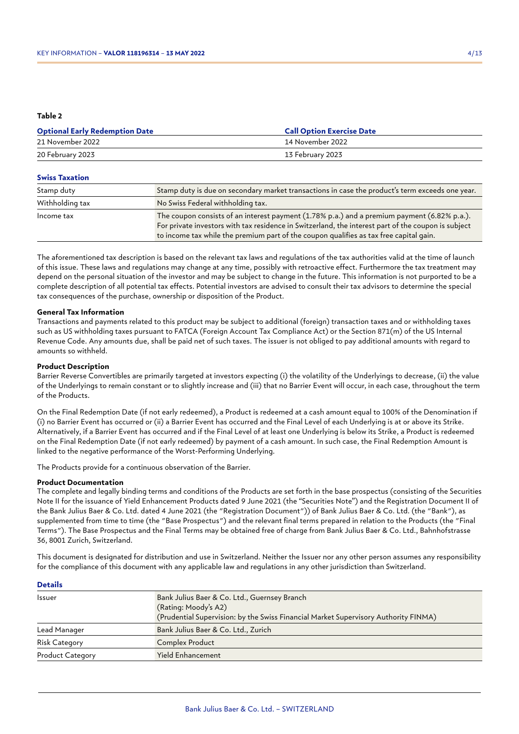#### **Table 2**

| <b>Optional Early Redemption Date</b> | <b>Call Option Exercise Date</b> |
|---------------------------------------|----------------------------------|
| 21 November 2022                      | 14 November 2022                 |
| 20 February 2023                      | 13 February 2023                 |

#### **Swiss Taxation**

| Stamp duty      | Stamp duty is due on secondary market transactions in case the product's term exceeds one year.                                                                                                                                                                                              |  |
|-----------------|----------------------------------------------------------------------------------------------------------------------------------------------------------------------------------------------------------------------------------------------------------------------------------------------|--|
| Withholding tax | No Swiss Federal withholding tax.                                                                                                                                                                                                                                                            |  |
| Income tax      | The coupon consists of an interest payment (1.78% p.a.) and a premium payment (6.82% p.a.).<br>For private investors with tax residence in Switzerland, the interest part of the coupon is subject<br>to income tax while the premium part of the coupon qualifies as tax free capital gain. |  |

The aforementioned tax description is based on the relevant tax laws and regulations of the tax authorities valid at the time of launch of this issue. These laws and regulations may change at any time, possibly with retroactive effect. Furthermore the tax treatment may depend on the personal situation of the investor and may be subject to change in the future. This information is not purported to be a complete description of all potential tax effects. Potential investors are advised to consult their tax advisors to determine the special tax consequences of the purchase, ownership or disposition of the Product.

#### **General Tax Information**

Transactions and payments related to this product may be subject to additional (foreign) transaction taxes and or withholding taxes such as US withholding taxes pursuant to FATCA (Foreign Account Tax Compliance Act) or the Section 871(m) of the US Internal Revenue Code. Any amounts due, shall be paid net of such taxes. The issuer is not obliged to pay additional amounts with regard to amounts so withheld.

#### **Product Description**

Barrier Reverse Convertibles are primarily targeted at investors expecting (i) the volatility of the Underlyings to decrease, (ii) the value of the Underlyings to remain constant or to slightly increase and (iii) that no Barrier Event will occur, in each case, throughout the term of the Products.

On the Final Redemption Date (if not early redeemed), a Product is redeemed at a cash amount equal to 100% of the Denomination if (i) no Barrier Event has occurred or (ii) a Barrier Event has occurred and the Final Level of each Underlying is at or above its Strike. Alternatively, if a Barrier Event has occurred and if the Final Level of at least one Underlying is below its Strike, a Product is redeemed on the Final Redemption Date (if not early redeemed) by payment of a cash amount. In such case, the Final Redemption Amount is linked to the negative performance of the Worst-Performing Underlying.

The Products provide for a continuous observation of the Barrier.

#### **Product Documentation**

**Details**

The complete and legally binding terms and conditions of the Products are set forth in the base prospectus (consisting of the Securities Note II for the issuance of Yield Enhancement Products dated 9 June 2021 (the "Securities Note") and the Registration Document II of the Bank Julius Baer & Co. Ltd. dated 4 June 2021 (the "Registration Document")) of Bank Julius Baer & Co. Ltd. (the "Bank"), as supplemented from time to time (the "Base Prospectus") and the relevant final terms prepared in relation to the Products (the "Final Terms"). The Base Prospectus and the Final Terms may be obtained free of charge from Bank Julius Baer & Co. Ltd., Bahnhofstrasse 36, 8001 Zurich, Switzerland.

This document is designated for distribution and use in Switzerland. Neither the Issuer nor any other person assumes any responsibility for the compliance of this document with any applicable law and regulations in any other jurisdiction than Switzerland.

| Details                 |                                                                                                                                                             |  |
|-------------------------|-------------------------------------------------------------------------------------------------------------------------------------------------------------|--|
| <b>Issuer</b>           | Bank Julius Baer & Co. Ltd., Guernsey Branch<br>(Rating: Moody's A2)<br>(Prudential Supervision: by the Swiss Financial Market Supervisory Authority FINMA) |  |
| Lead Manager            | Bank Julius Baer & Co. Ltd., Zurich                                                                                                                         |  |
| <b>Risk Category</b>    | <b>Complex Product</b>                                                                                                                                      |  |
| <b>Product Category</b> | <b>Yield Enhancement</b>                                                                                                                                    |  |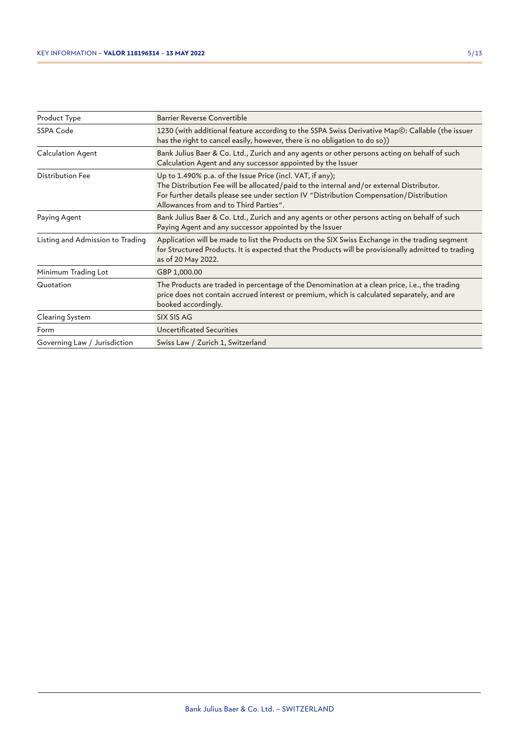| Product Type                     | Barrier Reverse Convertible                                                                                                                                                                                                                                                                |  |  |
|----------------------------------|--------------------------------------------------------------------------------------------------------------------------------------------------------------------------------------------------------------------------------------------------------------------------------------------|--|--|
| SSPA Code                        | 1230 (with additional feature according to the SSPA Swiss Derivative Map©: Callable (the issuer<br>has the right to cancel easily, however, there is no obligation to do so))                                                                                                              |  |  |
| Calculation Agent                | Bank Julius Baer & Co. Ltd., Zurich and any agents or other persons acting on behalf of such<br>Calculation Agent and any successor appointed by the Issuer                                                                                                                                |  |  |
| Distribution Fee                 | Up to 1.490% p.a. of the Issue Price (incl. VAT, if any);<br>The Distribution Fee will be allocated/paid to the internal and/or external Distributor.<br>For further details please see under section IV "Distribution Compensation/Distribution<br>Allowances from and to Third Parties". |  |  |
| Paying Agent                     | Bank Julius Baer & Co. Ltd., Zurich and any agents or other persons acting on behalf of such<br>Paying Agent and any successor appointed by the Issuer                                                                                                                                     |  |  |
| Listing and Admission to Trading | Application will be made to list the Products on the SIX Swiss Exchange in the trading segment<br>for Structured Products. It is expected that the Products will be provisionally admitted to trading<br>as of 20 May 2022.                                                                |  |  |
| Minimum Trading Lot              | GBP 1,000.00                                                                                                                                                                                                                                                                               |  |  |
| Quotation                        | The Products are traded in percentage of the Denomination at a clean price, i.e., the trading<br>price does not contain accrued interest or premium, which is calculated separately, and are<br>booked accordingly.                                                                        |  |  |
| Clearing System                  | SIX SIS AG                                                                                                                                                                                                                                                                                 |  |  |
| Form                             | Uncertificated Securities                                                                                                                                                                                                                                                                  |  |  |
| Governing Law / Jurisdiction     | Swiss Law / Zurich 1, Switzerland                                                                                                                                                                                                                                                          |  |  |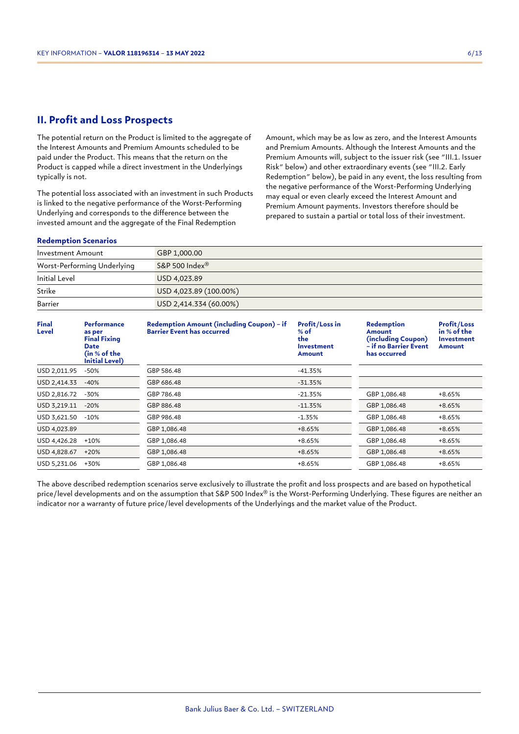## **II. Profit and Loss Prospects**

The potential return on the Product is limited to the aggregate of the Interest Amounts and Premium Amounts scheduled to be paid under the Product. This means that the return on the Product is capped while a direct investment in the Underlyings typically is not.

The potential loss associated with an investment in such Products is linked to the negative performance of the Worst-Performing Underlying and corresponds to the difference between the invested amount and the aggregate of the Final Redemption

Amount, which may be as low as zero, and the Interest Amounts and Premium Amounts. Although the Interest Amounts and the Premium Amounts will, subject to the issuer risk (see "III.1. Issuer Risk" below) and other extraordinary events (see "III.2. Early Redemption" below), be paid in any event, the loss resulting from the negative performance of the Worst-Performing Underlying may equal or even clearly exceed the Interest Amount and Premium Amount payments. Investors therefore should be prepared to sustain a partial or total loss of their investment.

#### **Redemption Scenarios**

| Investment Amount           | GBP 1,000.00           |
|-----------------------------|------------------------|
| Worst-Performing Underlying | S&P 500 Index®         |
| Initial Level               | USD 4,023.89           |
| Strike                      | USD 4,023.89 (100.00%) |
| Barrier                     | USD 2,414.334 (60.00%) |

| <b>Final</b><br>Level | <b>Performance</b><br>as per<br><b>Final Fixing</b><br><b>Date</b><br>(in $\%$ of the<br>Initial Level) | Redemption Amount (including Coupon) - if<br><b>Barrier Event has occurred</b> | <b>Profit/Loss in</b><br>$%$ of<br>the<br><b>Investment</b><br>Amount | Redemption<br>Amount<br>(including Coupon)<br>– if no Barrier Event<br>has occurred | <b>Profit/Loss</b><br>in % of the<br><b>Investment</b><br>Amount |
|-----------------------|---------------------------------------------------------------------------------------------------------|--------------------------------------------------------------------------------|-----------------------------------------------------------------------|-------------------------------------------------------------------------------------|------------------------------------------------------------------|
| USD 2,011.95          | $-50%$                                                                                                  | GBP 586.48                                                                     | $-41.35%$                                                             |                                                                                     |                                                                  |
| USD 2,414.33          | $-40%$                                                                                                  | GBP 686.48                                                                     | $-31.35%$                                                             |                                                                                     |                                                                  |
| USD 2,816.72          | -30%                                                                                                    | GBP 786.48                                                                     | $-21.35%$                                                             | GBP 1,086.48                                                                        | +8.65%                                                           |
| USD 3,219.11          | $-20%$                                                                                                  | GBP 886.48                                                                     | $-11.35%$                                                             | GBP 1,086.48                                                                        | $+8.65%$                                                         |
| USD 3,621.50          | $-10\%$                                                                                                 | GBP 986.48                                                                     | $-1.35%$                                                              | GBP 1,086.48                                                                        | $+8.65%$                                                         |
| USD 4,023.89          |                                                                                                         | GBP 1,086.48                                                                   | $+8.65%$                                                              | GBP 1,086.48                                                                        | $+8.65%$                                                         |
| USD 4,426.28          | $+10%$                                                                                                  | GBP 1,086.48                                                                   | $+8.65%$                                                              | GBP 1,086.48                                                                        | +8.65%                                                           |
| USD 4,828.67          | $+20%$                                                                                                  | GBP 1,086.48                                                                   | $+8.65%$                                                              | GBP 1,086.48                                                                        | $+8.65%$                                                         |
| USD 5,231.06          | +30%                                                                                                    | GBP 1,086.48                                                                   | +8.65%                                                                | GBP 1,086.48                                                                        | +8.65%                                                           |

The above described redemption scenarios serve exclusively to illustrate the profit and loss prospects and are based on hypothetical price/level developments and on the assumption that S&P 500 Index® is the Worst-Performing Underlying. These figures are neither an indicator nor a warranty of future price/level developments of the Underlyings and the market value of the Product.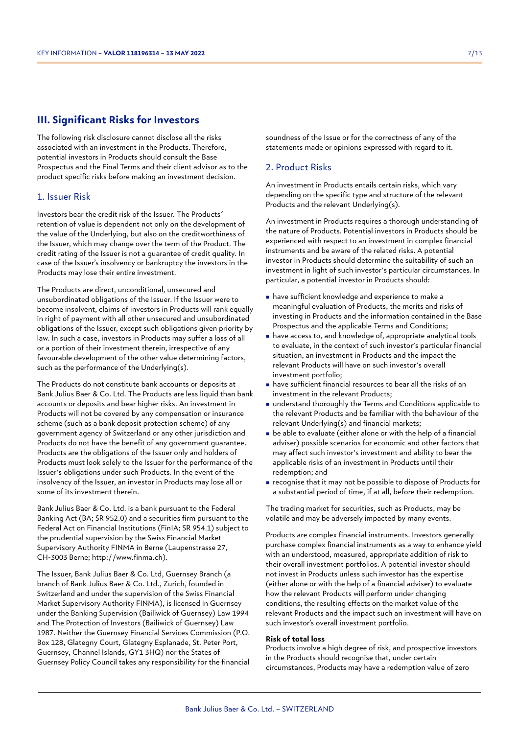## **III. Significant Risks for Investors**

The following risk disclosure cannot disclose all the risks associated with an investment in the Products. Therefore, potential investors in Products should consult the Base Prospectus and the Final Terms and their client advisor as to the product specific risks before making an investment decision.

#### 1. Issuer Risk

Investors bear the credit risk of the Issuer. The Products´ retention of value is dependent not only on the development of the value of the Underlying, but also on the creditworthiness of the Issuer, which may change over the term of the Product. The credit rating of the Issuer is not a guarantee of credit quality. In case of the Issuer's insolvency or bankruptcy the investors in the Products may lose their entire investment.

The Products are direct, unconditional, unsecured and unsubordinated obligations of the Issuer. If the Issuer were to become insolvent, claims of investors in Products will rank equally in right of payment with all other unsecured and unsubordinated obligations of the Issuer, except such obligations given priority by law. In such a case, investors in Products may suffer a loss of all or a portion of their investment therein, irrespective of any favourable development of the other value determining factors, such as the performance of the Underlying(s).

The Products do not constitute bank accounts or deposits at Bank Julius Baer & Co. Ltd. The Products are less liquid than bank accounts or deposits and bear higher risks. An investment in Products will not be covered by any compensation or insurance scheme (such as a bank deposit protection scheme) of any government agency of Switzerland or any other jurisdiction and Products do not have the benefit of any government guarantee. Products are the obligations of the Issuer only and holders of Products must look solely to the Issuer for the performance of the Issuer's obligations under such Products. In the event of the insolvency of the Issuer, an investor in Products may lose all or some of its investment therein.

Bank Julius Baer & Co. Ltd. is a bank pursuant to the Federal Banking Act (BA; SR 952.0) and a securities firm pursuant to the Federal Act on Financial Institutions (FinIA; SR 954.1) subject to the prudential supervision by the Swiss Financial Market Supervisory Authority FINMA in Berne (Laupenstrasse 27, CH-3003 Berne; http://www.finma.ch).

The Issuer, Bank Julius Baer & Co. Ltd, Guernsey Branch (a branch of Bank Julius Baer & Co. Ltd., Zurich, founded in Switzerland and under the supervision of the Swiss Financial Market Supervisory Authority FINMA), is licensed in Guernsey under the Banking Supervision (Bailiwick of Guernsey) Law 1994 and The Protection of Investors (Bailiwick of Guernsey) Law 1987. Neither the Guernsey Financial Services Commission (P.O. Box 128, Glategny Court, Glategny Esplanade, St. Peter Port, Guernsey, Channel Islands, GY1 3HQ) nor the States of Guernsey Policy Council takes any responsibility for the financial soundness of the Issue or for the correctness of any of the statements made or opinions expressed with regard to it.

## 2. Product Risks

An investment in Products entails certain risks, which vary depending on the specific type and structure of the relevant Products and the relevant Underlying(s).

An investment in Products requires a thorough understanding of the nature of Products. Potential investors in Products should be experienced with respect to an investment in complex financial instruments and be aware of the related risks. A potential investor in Products should determine the suitability of such an investment in light of such investor's particular circumstances. In particular, a potential investor in Products should:

- <sup>n</sup> have sufficient knowledge and experience to make a meaningful evaluation of Products, the merits and risks of investing in Products and the information contained in the Base Prospectus and the applicable Terms and Conditions;
- <sup>n</sup> have access to, and knowledge of, appropriate analytical tools to evaluate, in the context of such investor's particular financial situation, an investment in Products and the impact the relevant Products will have on such investor's overall investment portfolio;
- <sup>n</sup> have sufficient financial resources to bear all the risks of an investment in the relevant Products;
- understand thoroughly the Terms and Conditions applicable to the relevant Products and be familiar with the behaviour of the relevant Underlying(s) and financial markets;
- $\blacksquare$  be able to evaluate (either alone or with the help of a financial adviser) possible scenarios for economic and other factors that may affect such investor's investment and ability to bear the applicable risks of an investment in Products until their redemption; and
- <sup>n</sup> recognise that it may not be possible to dispose of Products for a substantial period of time, if at all, before their redemption.

The trading market for securities, such as Products, may be volatile and may be adversely impacted by many events.

Products are complex financial instruments. Investors generally purchase complex financial instruments as a way to enhance yield with an understood, measured, appropriate addition of risk to their overall investment portfolios. A potential investor should not invest in Products unless such investor has the expertise (either alone or with the help of a financial adviser) to evaluate how the relevant Products will perform under changing conditions, the resulting effects on the market value of the relevant Products and the impact such an investment will have on such investor's overall investment portfolio.

#### **Risk of total loss**

Products involve a high degree of risk, and prospective investors in the Products should recognise that, under certain circumstances, Products may have a redemption value of zero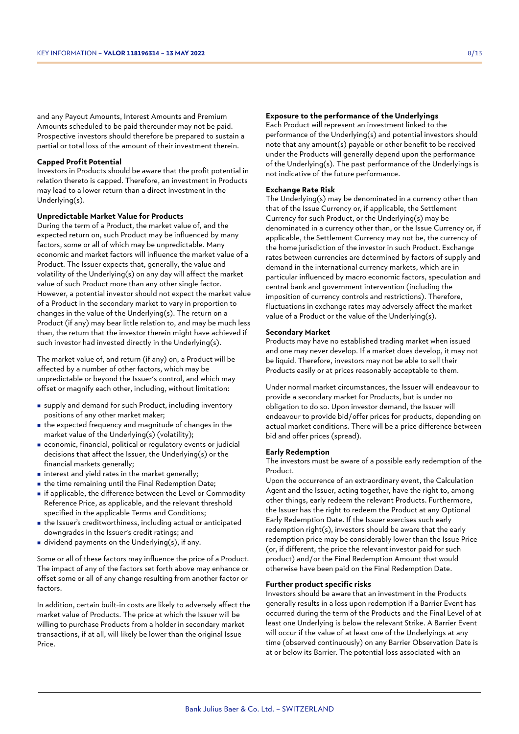and any Payout Amounts, Interest Amounts and Premium Amounts scheduled to be paid thereunder may not be paid. Prospective investors should therefore be prepared to sustain a partial or total loss of the amount of their investment therein.

#### **Capped Profit Potential**

Investors in Products should be aware that the profit potential in relation thereto is capped. Therefore, an investment in Products may lead to a lower return than a direct investment in the Underlying(s).

#### **Unpredictable Market Value for Products**

During the term of a Product, the market value of, and the expected return on, such Product may be influenced by many factors, some or all of which may be unpredictable. Many economic and market factors will influence the market value of a Product. The Issuer expects that, generally, the value and volatility of the Underlying(s) on any day will affect the market value of such Product more than any other single factor. However, a potential investor should not expect the market value of a Product in the secondary market to vary in proportion to changes in the value of the Underlying(s). The return on a Product (if any) may bear little relation to, and may be much less than, the return that the investor therein might have achieved if such investor had invested directly in the Underlying(s).

The market value of, and return (if any) on, a Product will be affected by a number of other factors, which may be unpredictable or beyond the Issuer's control, and which may offset or magnify each other, including, without limitation:

- <sup>n</sup> supply and demand for such Product, including inventory positions of any other market maker;
- $\blacksquare$  the expected frequency and magnitude of changes in the market value of the Underlying(s) (volatility);
- <sup>n</sup> economic, financial, political or regulatory events or judicial decisions that affect the Issuer, the Underlying(s) or the financial markets generally;
- $\blacksquare$  interest and yield rates in the market generally;
- $\blacksquare$  the time remaining until the Final Redemption Date;
- <sup>n</sup> if applicable, the difference between the Level or Commodity Reference Price, as applicable, and the relevant threshold specified in the applicable Terms and Conditions;
- <sup>n</sup> the Issuer's creditworthiness, including actual or anticipated downgrades in the Issuer's credit ratings; and
- in dividend payments on the Underlying(s), if any.

Some or all of these factors may influence the price of a Product. The impact of any of the factors set forth above may enhance or offset some or all of any change resulting from another factor or factors.

In addition, certain built-in costs are likely to adversely affect the market value of Products. The price at which the Issuer will be willing to purchase Products from a holder in secondary market transactions, if at all, will likely be lower than the original Issue Price.

#### **Exposure to the performance of the Underlyings**

Each Product will represent an investment linked to the performance of the Underlying(s) and potential investors should note that any amount(s) payable or other benefit to be received under the Products will generally depend upon the performance of the Underlying(s). The past performance of the Underlyings is not indicative of the future performance.

#### **Exchange Rate Risk**

The Underlying(s) may be denominated in a currency other than that of the Issue Currency or, if applicable, the Settlement Currency for such Product, or the Underlying(s) may be denominated in a currency other than, or the Issue Currency or, if applicable, the Settlement Currency may not be, the currency of the home jurisdiction of the investor in such Product. Exchange rates between currencies are determined by factors of supply and demand in the international currency markets, which are in particular influenced by macro economic factors, speculation and central bank and government intervention (including the imposition of currency controls and restrictions). Therefore, fluctuations in exchange rates may adversely affect the market value of a Product or the value of the Underlying(s).

#### **Secondary Market**

Products may have no established trading market when issued and one may never develop. If a market does develop, it may not be liquid. Therefore, investors may not be able to sell their Products easily or at prices reasonably acceptable to them.

Under normal market circumstances, the Issuer will endeavour to provide a secondary market for Products, but is under no obligation to do so. Upon investor demand, the Issuer will endeavour to provide bid/offer prices for products, depending on actual market conditions. There will be a price difference between bid and offer prices (spread).

#### **Early Redemption**

The investors must be aware of a possible early redemption of the Product.

Upon the occurrence of an extraordinary event, the Calculation Agent and the Issuer, acting together, have the right to, among other things, early redeem the relevant Products. Furthermore, the Issuer has the right to redeem the Product at any Optional Early Redemption Date. If the Issuer exercises such early redemption right(s), investors should be aware that the early redemption price may be considerably lower than the Issue Price (or, if different, the price the relevant investor paid for such product) and/or the Final Redemption Amount that would otherwise have been paid on the Final Redemption Date.

#### **Further product specific risks**

Investors should be aware that an investment in the Products generally results in a loss upon redemption if a Barrier Event has occurred during the term of the Products and the Final Level of at least one Underlying is below the relevant Strike. A Barrier Event will occur if the value of at least one of the Underlyings at any time (observed continuously) on any Barrier Observation Date is at or below its Barrier. The potential loss associated with an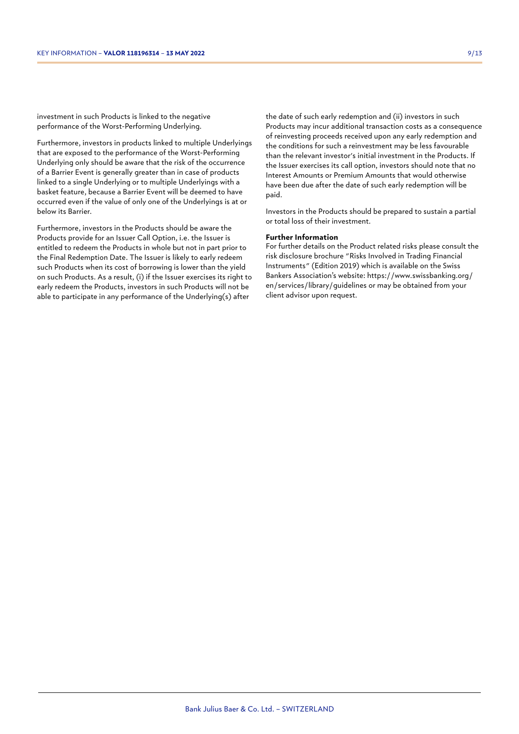investment in such Products is linked to the negative performance of the Worst-Performing Underlying.

Furthermore, investors in products linked to multiple Underlyings that are exposed to the performance of the Worst-Performing Underlying only should be aware that the risk of the occurrence of a Barrier Event is generally greater than in case of products linked to a single Underlying or to multiple Underlyings with a basket feature, because a Barrier Event will be deemed to have occurred even if the value of only one of the Underlyings is at or below its Barrier.

Furthermore, investors in the Products should be aware the Products provide for an Issuer Call Option, i.e. the Issuer is entitled to redeem the Products in whole but not in part prior to the Final Redemption Date. The Issuer is likely to early redeem such Products when its cost of borrowing is lower than the yield on such Products. As a result, (i) if the Issuer exercises its right to early redeem the Products, investors in such Products will not be able to participate in any performance of the Underlying(s) after

the date of such early redemption and (ii) investors in such Products may incur additional transaction costs as a consequence of reinvesting proceeds received upon any early redemption and the conditions for such a reinvestment may be less favourable than the relevant investor's initial investment in the Products. If the Issuer exercises its call option, investors should note that no Interest Amounts or Premium Amounts that would otherwise have been due after the date of such early redemption will be paid.

Investors in the Products should be prepared to sustain a partial or total loss of their investment.

#### **Further Information**

For further details on the Product related risks please consult the risk disclosure brochure "Risks Involved in Trading Financial Instruments" (Edition 2019) which is available on the Swiss Bankers Association's website: https://www.swissbanking.org/ en/services/library/guidelines or may be obtained from your client advisor upon request.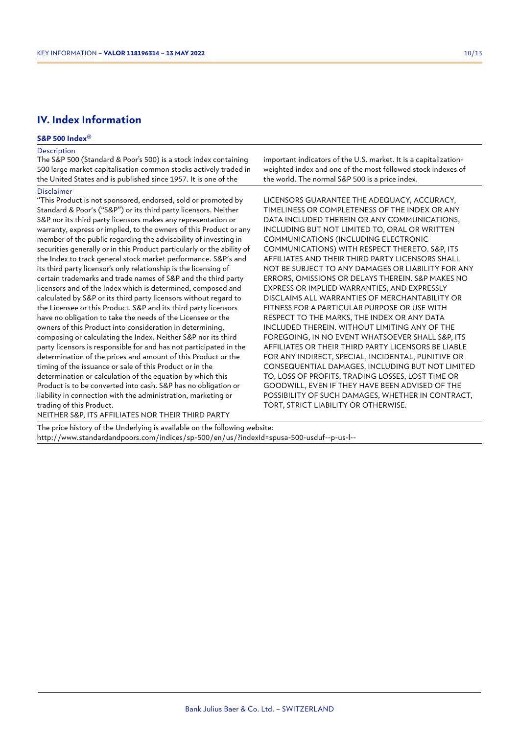## **IV. Index Information**

#### **S&P 500 Index®**

#### Description

The S&P 500 (Standard & Poor's 500) is a stock index containing 500 large market capitalisation common stocks actively traded in the United States and is published since 1957. It is one of the

#### Disclaimer

"This Product is not sponsored, endorsed, sold or promoted by Standard & Poor's ("S&P") or its third party licensors. Neither S&P nor its third party licensors makes any representation or warranty, express or implied, to the owners of this Product or any member of the public regarding the advisability of investing in securities generally or in this Product particularly or the ability of the Index to track general stock market performance. S&P's and its third party licensor's only relationship is the licensing of certain trademarks and trade names of S&P and the third party licensors and of the Index which is determined, composed and calculated by S&P or its third party licensors without regard to the Licensee or this Product. S&P and its third party licensors have no obligation to take the needs of the Licensee or the owners of this Product into consideration in determining, composing or calculating the Index. Neither S&P nor its third party licensors is responsible for and has not participated in the determination of the prices and amount of this Product or the timing of the issuance or sale of this Product or in the determination or calculation of the equation by which this Product is to be converted into cash. S&P has no obligation or liability in connection with the administration, marketing or trading of this Product.

important indicators of the U.S. market. It is a capitalizationweighted index and one of the most followed stock indexes of the world. The normal S&P 500 is a price index.

LICENSORS GUARANTEE THE ADEQUACY, ACCURACY, TIMELINESS OR COMPLETENESS OF THE INDEX OR ANY DATA INCLUDED THEREIN OR ANY COMMUNICATIONS, INCLUDING BUT NOT LIMITED TO, ORAL OR WRITTEN COMMUNICATIONS (INCLUDING ELECTRONIC COMMUNICATIONS) WITH RESPECT THERETO. S&P, ITS AFFILIATES AND THEIR THIRD PARTY LICENSORS SHALL NOT BE SUBJECT TO ANY DAMAGES OR LIABILITY FOR ANY ERRORS, OMISSIONS OR DELAYS THEREIN. S&P MAKES NO EXPRESS OR IMPLIED WARRANTIES, AND EXPRESSLY DISCLAIMS ALL WARRANTIES OF MERCHANTABILITY OR FITNESS FOR A PARTICULAR PURPOSE OR USE WITH RESPECT TO THE MARKS, THE INDEX OR ANY DATA INCLUDED THEREIN. WITHOUT LIMITING ANY OF THE FOREGOING, IN NO EVENT WHATSOEVER SHALL S&P, ITS AFFILIATES OR THEIR THIRD PARTY LICENSORS BE LIABLE FOR ANY INDIRECT, SPECIAL, INCIDENTAL, PUNITIVE OR CONSEQUENTIAL DAMAGES, INCLUDING BUT NOT LIMITED TO, LOSS OF PROFITS, TRADING LOSSES, LOST TIME OR GOODWILL, EVEN IF THEY HAVE BEEN ADVISED OF THE POSSIBILITY OF SUCH DAMAGES, WHETHER IN CONTRACT, TORT, STRICT LIABILITY OR OTHERWISE.

NEITHER S&P, ITS AFFILIATES NOR THEIR THIRD PARTY

The price history of the Underlying is available on the following website: http://www.standardandpoors.com/indices/sp-500/en/us/?indexId=spusa-500-usduf--p-us-l--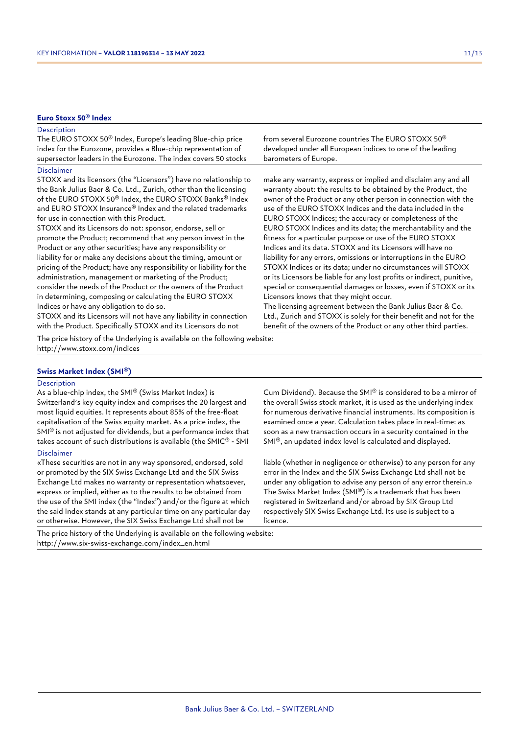#### **Euro Stoxx 50® Index**

#### **Description**

| _____                                                                  |                                                                |
|------------------------------------------------------------------------|----------------------------------------------------------------|
| supersector leaders in the Eurozone. The index covers 50 stocks        | barometers of Europe.                                          |
| index for the Eurozone, provides a Blue-chip representation of         | developed under all European indices to one of the leading     |
| The EURO STOXX 50 <sup>®</sup> Index, Europe's leading Blue-chip price | from several Eurozone countries The EURO STOXX 50 <sup>®</sup> |

#### Disclaimer

STOXX and its licensors (the "Licensors") have no relationship to the Bank Julius Baer & Co. Ltd., Zurich, other than the licensing of the EURO STOXX 50® Index, the EURO STOXX Banks® Index and EURO STOXX Insurance® Index and the related trademarks for use in connection with this Product.

STOXX and its Licensors do not: sponsor, endorse, sell or promote the Product; recommend that any person invest in the Product or any other securities; have any responsibility or liability for or make any decisions about the timing, amount or pricing of the Product; have any responsibility or liability for the administration, management or marketing of the Product; consider the needs of the Product or the owners of the Product in determining, composing or calculating the EURO STOXX Indices or have any obligation to do so.

STOXX and its Licensors will not have any liability in connection with the Product. Specifically STOXX and its Licensors do not

The price history of the Underlying is available on the following website: http://www.stoxx.com/indices

#### **Swiss Market Index (SMI®)**

#### **Description**

As a blue-chip index, the SMI® (Swiss Market Index) is Switzerland's key equity index and comprises the 20 largest and most liquid equities. It represents about 85% of the free-float capitalisation of the Swiss equity market. As a price index, the SMI® is not adjusted for dividends, but a performance index that takes account of such distributions is available (the SMIC® - SMI

#### Disclaimer

«These securities are not in any way sponsored, endorsed, sold or promoted by the SIX Swiss Exchange Ltd and the SIX Swiss Exchange Ltd makes no warranty or representation whatsoever, express or implied, either as to the results to be obtained from the use of the SMI index (the "Index") and/or the figure at which the said Index stands at any particular time on any particular day or otherwise. However, the SIX Swiss Exchange Ltd shall not be

The price history of the Underlying is available on the following website: http://www.six-swiss-exchange.com/index\_en.html

make any warranty, express or implied and disclaim any and all warranty about: the results to be obtained by the Product, the owner of the Product or any other person in connection with the use of the EURO STOXX Indices and the data included in the EURO STOXX Indices; the accuracy or completeness of the EURO STOXX Indices and its data; the merchantability and the fitness for a particular purpose or use of the EURO STOXX Indices and its data. STOXX and its Licensors will have no liability for any errors, omissions or interruptions in the EURO STOXX Indices or its data; under no circumstances will STOXX or its Licensors be liable for any lost profits or indirect, punitive, special or consequential damages or losses, even if STOXX or its Licensors knows that they might occur.

The licensing agreement between the Bank Julius Baer & Co. Ltd., Zurich and STOXX is solely for their benefit and not for the benefit of the owners of the Product or any other third parties.

Cum Dividend). Because the SMI® is considered to be a mirror of the overall Swiss stock market, it is used as the underlying index for numerous derivative financial instruments. Its composition is examined once a year. Calculation takes place in real-time: as soon as a new transaction occurs in a security contained in the SMI®, an updated index level is calculated and displayed.

liable (whether in negligence or otherwise) to any person for any error in the Index and the SIX Swiss Exchange Ltd shall not be under any obligation to advise any person of any error therein.» The Swiss Market Index (SMI®) is a trademark that has been registered in Switzerland and/or abroad by SIX Group Ltd respectively SIX Swiss Exchange Ltd. Its use is subject to a licence.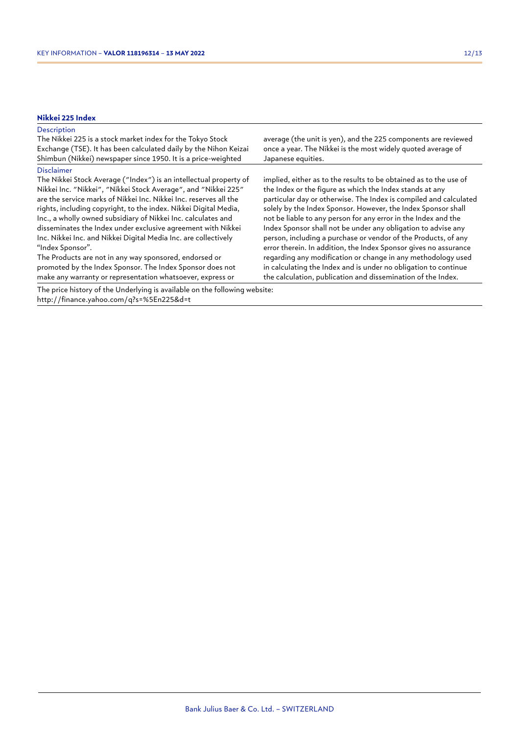## **Nikkei 225 Index**

| <b>Description</b><br>The Nikkei 225 is a stock market index for the Tokyo Stock<br>Exchange (TSE). It has been calculated daily by the Nihon Keizai<br>Shimbun (Nikkei) newspaper since 1950. It is a price-weighted                                                                                                                                                                                                                                                                                                                                                                                                                                                                                          | average (the unit is yen), and the 225 components are reviewed<br>once a year. The Nikkei is the most widely quoted average of<br>Japanese equities.                                                                                                                                                                                                                                                                                                                                                                                                                                                                                                                                                                                            |
|----------------------------------------------------------------------------------------------------------------------------------------------------------------------------------------------------------------------------------------------------------------------------------------------------------------------------------------------------------------------------------------------------------------------------------------------------------------------------------------------------------------------------------------------------------------------------------------------------------------------------------------------------------------------------------------------------------------|-------------------------------------------------------------------------------------------------------------------------------------------------------------------------------------------------------------------------------------------------------------------------------------------------------------------------------------------------------------------------------------------------------------------------------------------------------------------------------------------------------------------------------------------------------------------------------------------------------------------------------------------------------------------------------------------------------------------------------------------------|
| <b>Disclaimer</b><br>The Nikkei Stock Average ("Index") is an intellectual property of<br>Nikkei Inc. "Nikkei", "Nikkei Stock Average", and "Nikkei 225"<br>are the service marks of Nikkei Inc. Nikkei Inc. reserves all the<br>rights, including copyright, to the index. Nikkei Digital Media,<br>Inc., a wholly owned subsidiary of Nikkei Inc. calculates and<br>disseminates the Index under exclusive agreement with Nikkei<br>Inc. Nikkei Inc. and Nikkei Digital Media Inc. are collectively<br>"Index Sponsor".<br>The Products are not in any way sponsored, endorsed or<br>promoted by the Index Sponsor. The Index Sponsor does not<br>make any warranty or representation whatsoever, express or | implied, either as to the results to be obtained as to the use of<br>the Index or the figure as which the Index stands at any<br>particular day or otherwise. The Index is compiled and calculated<br>solely by the Index Sponsor. However, the Index Sponsor shall<br>not be liable to any person for any error in the Index and the<br>Index Sponsor shall not be under any obligation to advise any<br>person, including a purchase or vendor of the Products, of any<br>error therein. In addition, the Index Sponsor gives no assurance<br>regarding any modification or change in any methodology used<br>in calculating the Index and is under no obligation to continue<br>the calculation, publication and dissemination of the Index. |
| The price history of the Underlying is available on the following website:<br>http://finance.yahoo.com/q?s=%5En225&d=t                                                                                                                                                                                                                                                                                                                                                                                                                                                                                                                                                                                         |                                                                                                                                                                                                                                                                                                                                                                                                                                                                                                                                                                                                                                                                                                                                                 |